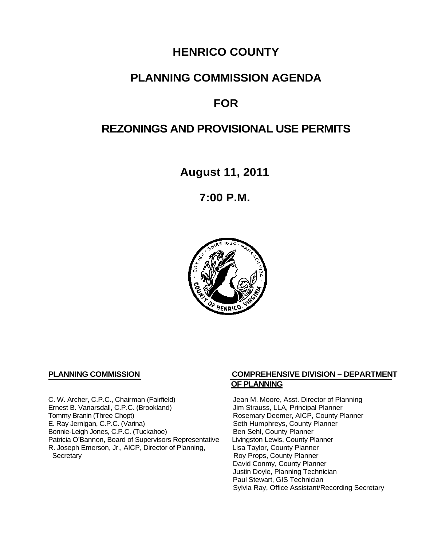# **HENRICO COUNTY**

# **PLANNING COMMISSION AGENDA**

# **FOR**

# **REZONINGS AND PROVISIONAL USE PERMITS**

**August 11, 2011**

**7:00 P.M.**



C. W. Archer, C.P.C., Chairman (Fairfield) Jean M. Moore, Asst. Director of Planning<br>
Ernest B. Vanarsdall, C.P.C. (Brookland) Jim Strauss, LLA, Principal Planner Ernest B. Vanarsdall, C.P.C. (Brookland)<br>Tommy Branin (Three Chopt) Tommy Branin (Three Chopt)<br>
E. Ray Jernigan, C.P.C. (Varina) Seth Humphreys, County Planner E. Ray Jernigan, C.P.C. (Varina) Bonnie-Leigh Jones, C.P.C. (Tuckahoe) Ben Sehl, County Planner<br>Patricia O'Bannon, Board of Supervisors Representative Livingston Lewis, County Planner Patricia O'Bannon, Board of Supervisors Representative Livingston Lewis, County Planner<br>R. Joseph Emerson, Jr., AICP, Director of Planning, Lisa Taylor, County Planner R. Joseph Emerson, Jr., AICP, Director of Planning, Secretary

# **PLANNING COMMISSION COMPREHENSIVE DIVISION – DEPARTMENT OF PLANNING**

Seth Humphreys, County Planner<br>Ben Sehl, County Planner Roy Props, County Planner David Conmy, County Planner Justin Doyle, Planning Technician Paul Stewart, GIS Technician Sylvia Ray, Office Assistant/Recording Secretary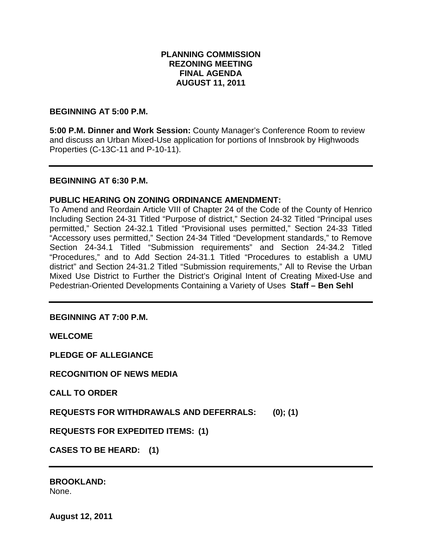# **PLANNING COMMISSION REZONING MEETING FINAL AGENDA AUGUST 11, 2011**

# **BEGINNING AT 5:00 P.M.**

**5:00 P.M. Dinner and Work Session:** County Manager's Conference Room to review and discuss an Urban Mixed-Use application for portions of Innsbrook by Highwoods Properties (C-13C-11 and P-10-11).

### **BEGINNING AT 6:30 P.M.**

# **PUBLIC HEARING ON ZONING ORDINANCE AMENDMENT:**

To Amend and Reordain Article VIII of Chapter 24 of the Code of the County of Henrico Including Section 24-31 Titled "Purpose of district," Section 24-32 Titled "Principal uses permitted," Section 24-32.1 Titled "Provisional uses permitted," Section 24-33 Titled "Accessory uses permitted," Section 24-34 Titled "Development standards," to Remove Section 24-34.1 Titled "Submission requirements" and Section 24-34.2 Titled "Procedures," and to Add Section 24-31.1 Titled "Procedures to establish a UMU district" and Section 24-31.2 Titled "Submission requirements," All to Revise the Urban Mixed Use District to Further the District's Original Intent of Creating Mixed-Use and Pedestrian-Oriented Developments Containing a Variety of Uses **Staff – Ben Sehl**

# **BEGINNING AT 7:00 P.M.**

**WELCOME**

**PLEDGE OF ALLEGIANCE**

**RECOGNITION OF NEWS MEDIA**

**CALL TO ORDER**

**REQUESTS FOR WITHDRAWALS AND DEFERRALS: (0); (1)**

**REQUESTS FOR EXPEDITED ITEMS: (1)**

**CASES TO BE HEARD: (1)**

**BROOKLAND:** None.

**August 12, 2011**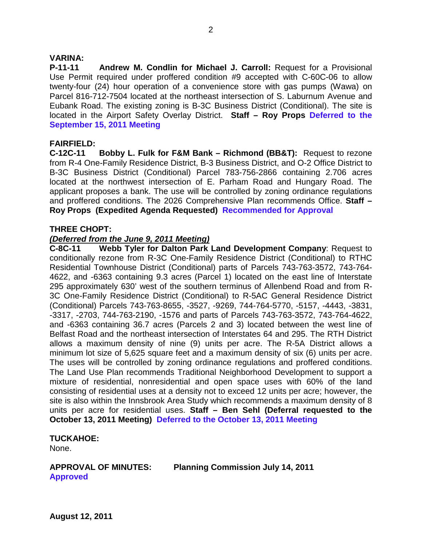# **VARINA:**

**P-11-11 Andrew M. Condlin for Michael J. Carroll:** Request for a Provisional Use Permit required under proffered condition #9 accepted with C-60C-06 to allow twenty-four (24) hour operation of a convenience store with gas pumps (Wawa) on Parcel 816-712-7504 located at the northeast intersection of S. Laburnum Avenue and Eubank Road. The existing zoning is B-3C Business District (Conditional). The site is located in the Airport Safety Overlay District. **Staff – Roy Props Deferred to the September 15, 2011 Meeting**

# **FAIRFIELD:**

**C-12C-11 Bobby L. Fulk for F&M Bank – Richmond (BB&T):** Request to rezone from R-4 One-Family Residence District, B-3 Business District, and O-2 Office District to B-3C Business District (Conditional) Parcel 783-756-2866 containing 2.706 acres located at the northwest intersection of E. Parham Road and Hungary Road. The applicant proposes a bank. The use will be controlled by zoning ordinance regulations and proffered conditions. The 2026 Comprehensive Plan recommends Office. **Staff – Roy Props (Expedited Agenda Requested) Recommended for Approval**

# **THREE CHOPT:**

# *(Deferred from the June 9, 2011 Meeting)*

**C-8C-11 Webb Tyler for Dalton Park Land Development Company**: Request to conditionally rezone from R-3C One-Family Residence District (Conditional) to RTHC Residential Townhouse District (Conditional) parts of Parcels 743-763-3572, 743-764- 4622, and -6363 containing 9.3 acres (Parcel 1) located on the east line of Interstate 295 approximately 630' west of the southern terminus of Allenbend Road and from R-3C One-Family Residence District (Conditional) to R-5AC General Residence District (Conditional) Parcels 743-763-8655, -3527, -9269, 744-764-5770, -5157, -4443, -3831, -3317, -2703, 744-763-2190, -1576 and parts of Parcels 743-763-3572, 743-764-4622, and -6363 containing 36.7 acres (Parcels 2 and 3) located between the west line of Belfast Road and the northeast intersection of Interstates 64 and 295. The RTH District allows a maximum density of nine (9) units per acre. The R-5A District allows a minimum lot size of 5,625 square feet and a maximum density of six (6) units per acre. The uses will be controlled by zoning ordinance regulations and proffered conditions. The Land Use Plan recommends Traditional Neighborhood Development to support a mixture of residential, nonresidential and open space uses with 60% of the land consisting of residential uses at a density not to exceed 12 units per acre; however, the site is also within the Innsbrook Area Study which recommends a maximum density of 8 units per acre for residential uses. **Staff – Ben Sehl (Deferral requested to the October 13, 2011 Meeting) Deferred to the October 13, 2011 Meeting**

# **TUCKAHOE:**

None.

**APPROVAL OF MINUTES: Planning Commission July 14, 2011 Approved**